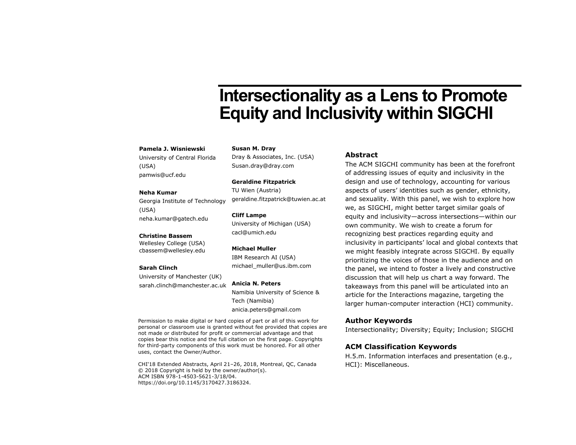# **Intersectionality as a Lens to Promote Equity and Inclusivity within SIGCHI**

#### **Pamela J. Wisniewski**

University of Central Florida (USA) pamwis@ucf.edu

#### **Neha Kumar**

Georgia Institute of Technology (USA) neha.kumar@gatech.edu

#### **Christine Bassem**

Wellesley College (USA) cbassem@wellesley.edu

#### **Sarah Clinch**

University of Manchester (UK) sarah.clinch@manchester.ac.uk **Susan M. Dray**

Dray & Associates, Inc. (USA) Susan.dray@dray.com

#### **Geraldine Fitzpatrick**

TU Wien (Austria) geraldine.fitzpatrick@tuwien.ac.at

**Cliff Lampe** University of Michigan (USA) cacl@umich.edu

**Michael Muller** IBM Research AI (USA) michael\_muller@us.ibm.com

**Anicia N. Peters** Namibia University of Science & Tech (Namibia) anicia.peters@gmail.com

Permission to make digital or hard copies of part or all of this work for personal or classroom use is granted without fee provided that copies are not made or distributed for profit or commercial advantage and that copies bear this notice and the full citation on the first page. Copyrights for third-party components of this work must be honored. For all other uses, contact the Owner/Author.

CHI'18 Extended Abstracts, April 21–26, 2018, Montreal, QC, Canada © 2018 Copyright is held by the owner/author(s). ACM ISBN 978-1-4503-5621-3/18/04. https://doi.org/10.1145/3170427.3186324.

# **Abstract**

The ACM SIGCHI community has been at the forefront of addressing issues of equity and inclusivity in the design and use of technology, accounting for various aspects of users' identities such as gender, ethnicity, and sexuality. With this panel, we wish to explore how we, as SIGCHI, might better target similar goals of equity and inclusivity—across intersections—within our own community. We wish to create a forum for recognizing best practices regarding equity and inclusivity in participants' local and global contexts that we might feasibly integrate across SIGCHI. By equally prioritizing the voices of those in the audience and on the panel, we intend to foster a lively and constructive discussion that will help us chart a way forward. The takeaways from this panel will be articulated into an article for the Interactions magazine, targeting the larger human-computer interaction (HCI) community.

#### **Author Keywords**

Intersectionality; Diversity; Equity; Inclusion; SIGCHI

# **ACM Classification Keywords**

H.5.m. Information interfaces and presentation (e.g., HCI): Miscellaneous.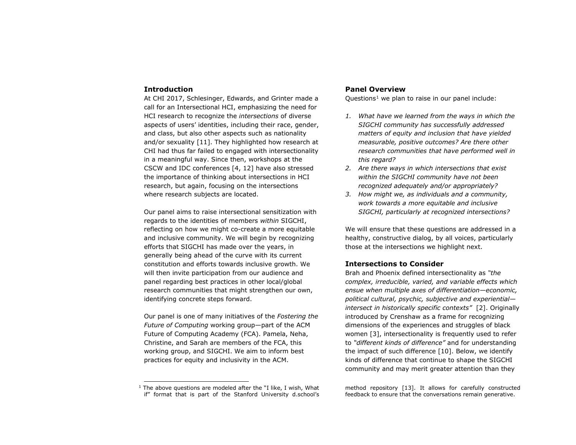# **Introduction**

At CHI 2017, Schlesinger, Edwards, and Grinter made a call for an Intersectional HCI, emphasizing the need for HCI research to recognize the *intersections* of diverse aspects of users' identities, including their race, gender, and class, but also other aspects such as nationality and/or sexuality [11]. They highlighted how research at CHI had thus far failed to engaged with intersectionality in a meaningful way. Since then, workshops at the CSCW and IDC conferences [4, 12] have also stressed the importance of thinking about intersections in HCI research, but again, focusing on the intersections where research subjects are located.

Our panel aims to raise intersectional sensitization with regards to the identities of members *within* SIGCHI, reflecting on how we might co-create a more equitable and inclusive community. We will begin by recognizing efforts that SIGCHI has made over the years, in generally being ahead of the curve with its current constitution and efforts towards inclusive growth. We will then invite participation from our audience and panel regarding best practices in other local/global research communities that might strengthen our own, identifying concrete steps forward.

Our panel is one of many initiatives of the *Fostering the Future of Computing* working group—part of the ACM Future of Computing Academy (FCA). Pamela, Neha, Christine, and Sarah are members of the FCA, this working group, and SIGCHI. We aim to inform best practices for equity and inclusivity in the ACM.

# <span id="page-1-0"></span>**Panel Overview**

Questions<sup>[1](#page-1-0)</sup> we plan to raise in our panel include:

- *1. What have we learned from the ways in which the SIGCHI community has successfully addressed matters of equity and inclusion that have yielded measurable, positive outcomes? Are there other research communities that have performed well in this regard?*
- *2. Are there ways in which intersections that exist within the SIGCHI community have not been recognized adequately and/or appropriately?*
- *3. How might we, as individuals and a community, work towards a more equitable and inclusive SIGCHI, particularly at recognized intersections?*

We will ensure that these questions are addressed in a healthy, constructive dialog, by all voices, particularly those at the intersections we highlight next.

# **Intersections to Consider**

Brah and Phoenix defined intersectionality as *"the complex, irreducible, varied, and variable effects which ensue when multiple axes of differentiation—economic, political cultural, psychic, subjective and experiential intersect in historically specific contexts"* [2]. Originally introduced by Crenshaw as a frame for recognizing dimensions of the experiences and struggles of black women [3], intersectionality is frequently used to refer to *"different kinds of difference"* and for understanding the impact of such difference [10]. Below, we identify kinds of difference that continue to shape the SIGCHI community and may merit greater attention than they

method repository [13]. It allows for carefully constructed feedback to ensure that the conversations remain generative.

 $1$  The above questions are modeled after the "I like, I wish, What if" format that is part of the Stanford University d.school's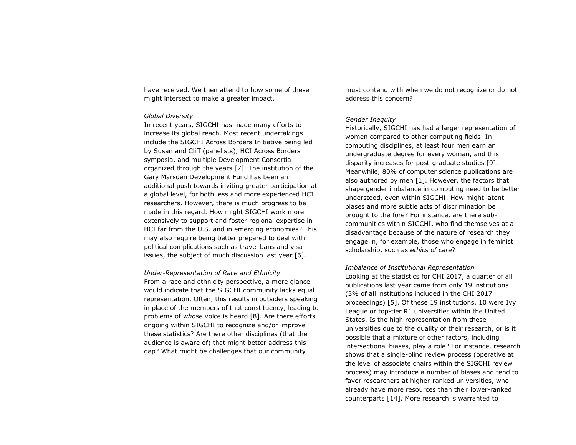have received. We then attend to how some of these might intersect to make a greater impact.

#### *Global Diversity*

In recent years, SIGCHI has made many efforts to increase its global reach. Most recent undertakings include the SIGCHI Across Borders Initiative being led by Susan and Cliff (panelists), HCI Across Borders symposia, and multiple Development Consortia organized through the years [7]. The institution of the Gary Marsden Development Fund has been an additional push towards inviting greater participation at a global level, for both less and more experienced HCI researchers. However, there is much progress to be made in this regard. How might SIGCHI work more extensively to support and foster regional expertise in HCI far from the U.S. and in emerging economies? This may also require being better prepared to deal with political complications such as travel bans and visa issues, the subject of much discussion last year [6].

*Under-Representation of Race and Ethnicity* From a race and ethnicity perspective, a mere glance would indicate that the SIGCHI community lacks equal representation. Often, this results in outsiders speaking in place of the members of that constituency, leading to problems of *whose* voice is heard [8]. Are there efforts ongoing within SIGCHI to recognize and/or improve these statistics? Are there other disciplines (that the audience is aware of) that might better address this gap? What might be challenges that our community

must contend with when we do not recognize or do not address this concern?

#### *Gender Inequity*

Historically, SIGCHI has had a larger representation of women compared to other computing fields. In computing disciplines, at least four men earn an undergraduate degree for every woman, and this disparity increases for post-graduate studies [9]. Meanwhile, 80% of computer science publications are also authored by men [1]. However, the factors that shape gender imbalance in computing need to be better understood, even within SIGCHI. How might latent biases and more subtle acts of discrimination be brought to the fore? For instance, are there subcommunities within SIGCHI, who find themselves at a disadvantage because of the nature of research they engage in, for example, those who engage in feminist scholarship, such as *ethics of care*?

*Imbalance of Institutional Representation* Looking at the statistics for CHI 2017, a quarter of all publications last year came from only 19 institutions (3% of all institutions included in the CHI 2017 proceedings) [5]. Of these 19 institutions, 10 were Ivy League or top-tier R1 universities within the United States. Is the high representation from these universities due to the quality of their research, or is it possible that a mixture of other factors, including intersectional biases, play a role? For instance, research shows that a single-blind review process (operative at the level of associate chairs within the SIGCHI review process) may introduce a number of biases and tend to favor researchers at higher-ranked universities, who already have more resources than their lower-ranked counterparts [14]. More research is warranted to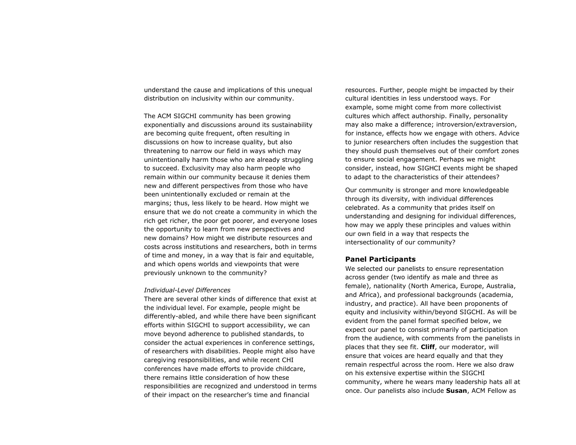understand the cause and implications of this unequal distribution on inclusivity within our community.

The ACM SIGCHI community has been growing exponentially and discussions around its sustainability are becoming quite frequent, often resulting in discussions on how to increase quality, but also threatening to narrow our field in ways which may unintentionally harm those who are already struggling to succeed. Exclusivity may also harm people who remain within our community because it denies them new and different perspectives from those who have been unintentionally excluded or remain at the margins; thus, less likely to be heard. How might we ensure that we do not create a community in which the rich get richer, the poor get poorer, and everyone loses the opportunity to learn from new perspectives and new domains? How might we distribute resources and costs across institutions and researchers, both in terms of time and money, in a way that is fair and equitable, and which opens worlds and viewpoints that were previously unknown to the community?

#### *Individual-Level Differences*

There are several other kinds of difference that exist at the individual level. For example, people might be differently-abled, and while there have been significant efforts within SIGCHI to support accessibility, we can move beyond adherence to published standards, to consider the actual experiences in conference settings, of researchers with disabilities. People might also have caregiving responsibilities, and while recent CHI conferences have made efforts to provide childcare, there remains little consideration of how these responsibilities are recognized and understood in terms of their impact on the researcher's time and financial

resources. Further, people might be impacted by their cultural identities in less understood ways. For example, some might come from more collectivist cultures which affect authorship. Finally, personality may also make a difference; introversion/extraversion, for instance, effects how we engage with others. Advice to junior researchers often includes the suggestion that they should push themselves out of their comfort zones to ensure social engagement. Perhaps we might consider, instead, how SIGHCI events might be shaped to adapt to the characteristics of their attendees?

Our community is stronger and more knowledgeable through its diversity, with individual differences celebrated. As a community that prides itself on understanding and designing for individual differences, how may we apply these principles and values within our own field in a way that respects the intersectionality of our community?

### **Panel Participants**

We selected our panelists to ensure representation across gender (two identify as male and three as female), nationality (North America, Europe, Australia, and Africa), and professional backgrounds (academia, industry, and practice). All have been proponents of equity and inclusivity within/beyond SIGCHI. As will be evident from the panel format specified below, we expect our panel to consist primarily of participation from the audience, with comments from the panelists in places that they see fit. **Cliff**, our moderator, will ensure that voices are heard equally and that they remain respectful across the room. Here we also draw on his extensive expertise within the SIGCHI community, where he wears many leadership hats all at once. Our panelists also include **Susan**, ACM Fellow as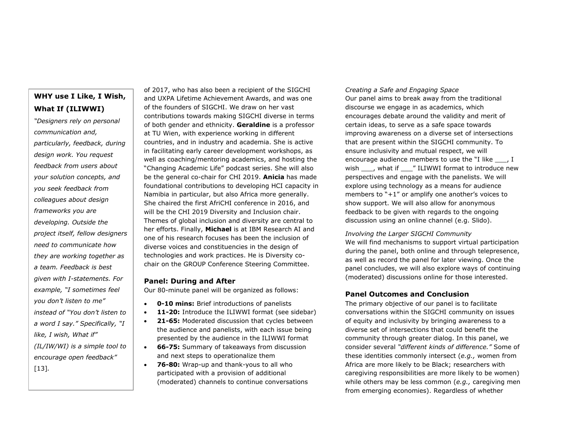# **WHY use I Like, I Wish, What If (ILIWWI)**

*"Designers rely on personal communication and, particularly, feedback, during design work. You request feedback from users about your solution concepts, and you seek feedback from colleagues about design frameworks you are developing. Outside the project itself, fellow designers need to communicate how they are working together as a team. Feedback is best given with I-statements. For example, "I sometimes feel you don't listen to me" instead of "You don't listen to a word I say." Specifically, "I like, I wish, What if" (IL/IW/WI) is a simple tool to encourage open feedback"* [13]*.*

of 2017, who has also been a recipient of the SIGCHI and UXPA Lifetime Achievement Awards, and was one of the founders of SIGCHI. We draw on her vast contributions towards making SIGCHI diverse in terms of both gender and ethnicity. **Geraldine** is a professor at TU Wien, with experience working in different countries, and in industry and academia. She is active in facilitating early career development workshops, as well as coaching/mentoring academics, and hosting the "Changing Academic Life" podcast series. She will also be the general co-chair for CHI 2019. **Anicia** has made foundational contributions to developing HCI capacity in Namibia in particular, but also Africa more generally. She chaired the first AfriCHI conference in 2016, and will be the CHI 2019 Diversity and Inclusion chair. Themes of global inclusion and diversity are central to her efforts. Finally, **Michael** is at IBM Research AI and one of his research focuses has been the inclusion of diverse voices and constituencies in the design of technologies and work practices. He is Diversity cochair on the GROUP Conference Steering Committee.

# **Panel: During and After**

Our 80-minute panel will be organized as follows:

- **0-10 mins:** Brief introductions of panelists
- 11-20: Introduce the ILIWWI format (see sidebar)
- 21-65: Moderated discussion that cycles between the audience and panelists, with each issue being presented by the audience in the ILIWWI format
- **66-75:** Summary of takeaways from discussion and next steps to operationalize them
- **76-80:** Wrap-up and thank-yous to all who participated with a provision of additional (moderated) channels to continue conversations

*Creating a Safe and Engaging Space* Our panel aims to break away from the traditional discourse we engage in as academics, which encourages debate around the validity and merit of certain ideas, to serve as a safe space towards improving awareness on a diverse set of intersections that are present within the SIGCHI community. To ensure inclusivity and mutual respect, we will encourage audience members to use the "I like  $\overline{\phantom{a}}$ . I wish , what if  $\blacksquare$  " ILIWWI format to introduce new perspectives and engage with the panelists. We will explore using technology as a means for audience members to "+1" or amplify one another's voices to show support. We will also allow for anonymous feedback to be given with regards to the ongoing discussion using an online channel (e.g. Slido).

#### *Involving the Larger SIGCHI Community*

We will find mechanisms to support virtual participation during the panel, both online and through telepresence, as well as record the panel for later viewing. Once the panel concludes, we will also explore ways of continuing (moderated) discussions online for those interested.

# **Panel Outcomes and Conclusion**

The primary objective of our panel is to facilitate conversations within the SIGCHI community on issues of equity and inclusivity by bringing awareness to a diverse set of intersections that could benefit the community through greater dialog. In this panel, we consider several *"different kinds of difference."* Some of these identities commonly intersect (*e.g.,* women from Africa are more likely to be Black; researchers with caregiving responsibilities are more likely to be women) while others may be less common (*e.g.,* caregiving men from emerging economies). Regardless of whether